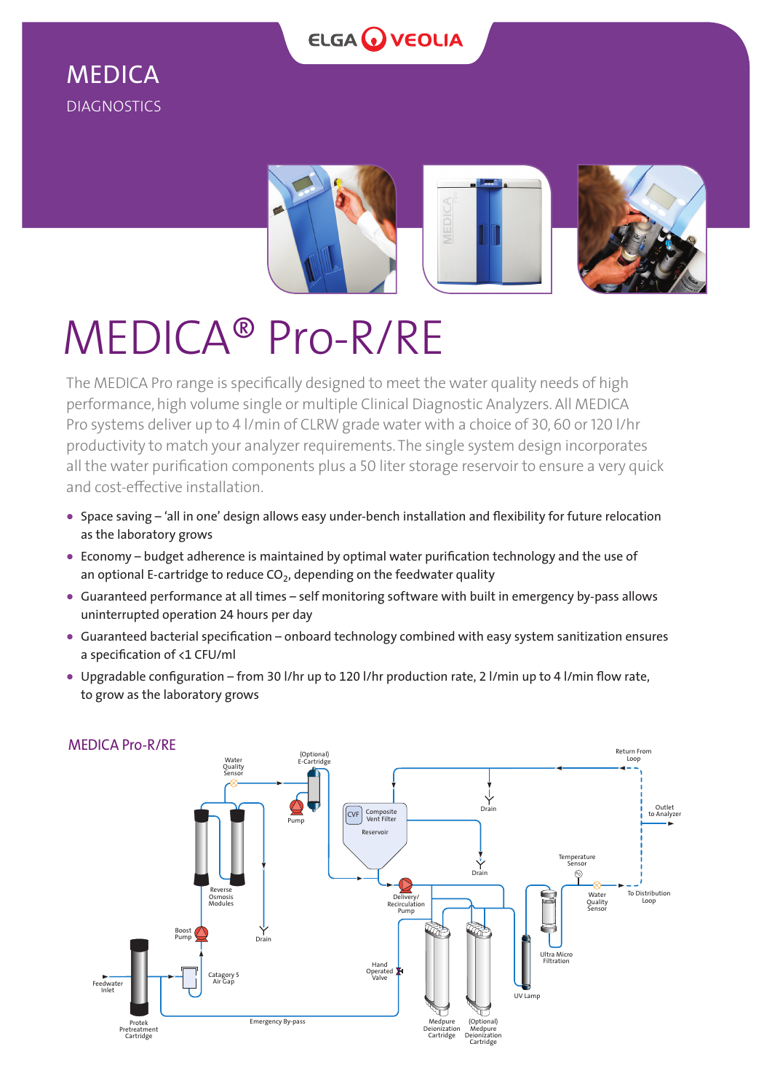

# MEDICA DIAGNOSTICS





The MEDICA Pro range is specifically designed to meet the water quality needs of high performance, high volume single or multiple Clinical Diagnostic Analyzers. All MEDICA Pro systems deliver up to 4 l/min of CLRW grade water with a choice of 30, 60 or 120 l/hr productivity to match your analyzer requirements. The single system design incorporates all the water purification components plus a 50 liter storage reservoir to ensure a very quick and cost-effective installation.

- **•** Space saving 'all in one' design allows easy under-bench installation and flexibility for future relocation as the laboratory grows
- **•** Economy budget adherence is maintained by optimal water purification technology and the use of an optional E-cartridge to reduce  $CO<sub>2</sub>$ , depending on the feedwater quality
- **•** Guaranteed performance at all times self monitoring software with built in emergency by-pass allows uninterrupted operation 24 hours per day
- **•** Guaranteed bacterial specification onboard technology combined with easy system sanitization ensures a specification of <1 CFU/ml
- **•** Upgradable configuration from 30 l/hr up to 120 l/hr production rate, 2 l/min up to 4 l/min flow rate, to grow as the laboratory grows



# MEDICA Pro-R/RE